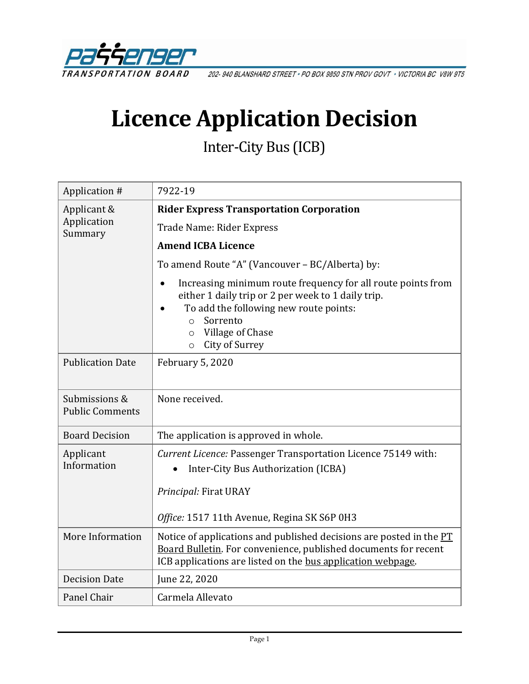

202-940 BLANSHARD STREET . PO BOX 9850 STN PROV GOVT . VICTORIA BC V8W 9T5

# **Licence Application Decision**

Inter-City Bus (ICB)

| Application #                           | 7922-19                                                                                                                                                                                                                                                 |
|-----------------------------------------|---------------------------------------------------------------------------------------------------------------------------------------------------------------------------------------------------------------------------------------------------------|
| Applicant &<br>Application<br>Summary   | <b>Rider Express Transportation Corporation</b>                                                                                                                                                                                                         |
|                                         | Trade Name: Rider Express                                                                                                                                                                                                                               |
|                                         | <b>Amend ICBA Licence</b>                                                                                                                                                                                                                               |
|                                         | To amend Route "A" (Vancouver - BC/Alberta) by:                                                                                                                                                                                                         |
|                                         | Increasing minimum route frequency for all route points from<br>either 1 daily trip or 2 per week to 1 daily trip.<br>To add the following new route points:<br>Sorrento<br>$\Omega$<br>Village of Chase<br>$\circ$<br><b>City of Surrey</b><br>$\circ$ |
| <b>Publication Date</b>                 | February 5, 2020                                                                                                                                                                                                                                        |
| Submissions &<br><b>Public Comments</b> | None received.                                                                                                                                                                                                                                          |
| <b>Board Decision</b>                   | The application is approved in whole.                                                                                                                                                                                                                   |
| Applicant<br>Information                | Current Licence: Passenger Transportation Licence 75149 with:<br>Inter-City Bus Authorization (ICBA)<br>Principal: Firat URAY                                                                                                                           |
|                                         | Office: 1517 11th Avenue, Regina SK S6P 0H3                                                                                                                                                                                                             |
| More Information                        | Notice of applications and published decisions are posted in the $PT$<br>Board Bulletin. For convenience, published documents for recent<br>ICB applications are listed on the bus application webpage.                                                 |
| <b>Decision Date</b>                    | June 22, 2020                                                                                                                                                                                                                                           |
| Panel Chair                             | Carmela Allevato                                                                                                                                                                                                                                        |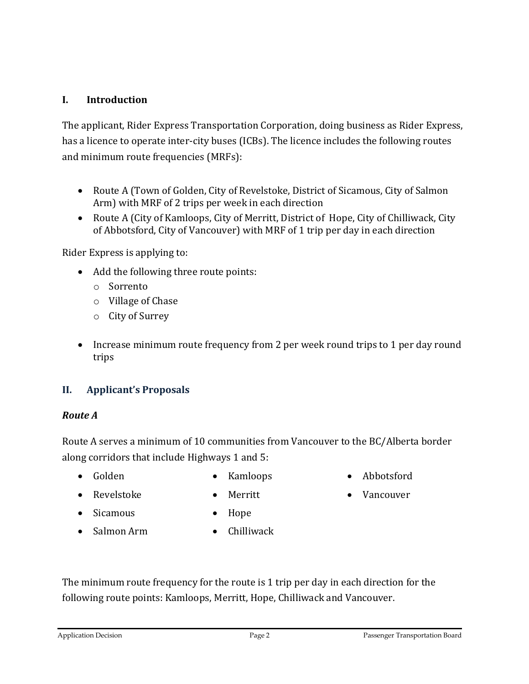## **I. Introduction**

The applicant, Rider Express Transportation Corporation, doing business as Rider Express, has a licence to operate inter-city buses (ICBs). The licence includes the following routes and minimum route frequencies (MRFs):

- Route A (Town of Golden, City of Revelstoke, District of Sicamous, City of Salmon Arm) with MRF of 2 trips per week in each direction
- Route A (City of Kamloops, City of Merritt, District of Hope, City of Chilliwack, City of Abbotsford, City of Vancouver) with MRF of 1 trip per day in each direction

Rider Express is applying to:

- Add the following three route points:
	- o Sorrento
	- o Village of Chase
	- o City of Surrey
- Increase minimum route frequency from 2 per week round trips to 1 per day round trips

## **II. Applicant's Proposals**

#### *Route A*

Route A serves a minimum of 10 communities from Vancouver to the BC/Alberta border along corridors that include Highways 1 and 5:

• Golden

• Kamloops

• Abbotsford

• Vancouver

• Revelstoke

• Sicamous

- Merritt
- Hope
- Salmon Arm
- Chilliwack

The minimum route frequency for the route is 1 trip per day in each direction for the following route points: Kamloops, Merritt, Hope, Chilliwack and Vancouver.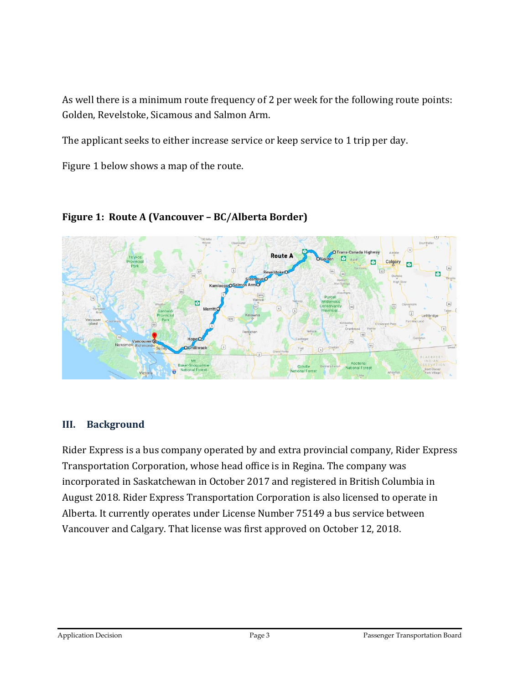As well there is a minimum route frequency of 2 per week for the following route points: Golden, Revelstoke, Sicamous and Salmon Arm.

The applicant seeks to either increase service or keep service to 1 trip per day.

Figure 1 below shows a map of the route.



**Figure 1: Route A (Vancouver – BC/Alberta Border)**

## **III. Background**

Rider Express is a bus company operated by and extra provincial company, Rider Express Transportation Corporation, whose head office is in Regina. The company was incorporated in Saskatchewan in October 2017 and registered in British Columbia in August 2018. Rider Express Transportation Corporation is also licensed to operate in Alberta. It currently operates under License Number 75149 a bus service between Vancouver and Calgary. That license was first approved on October 12, 2018.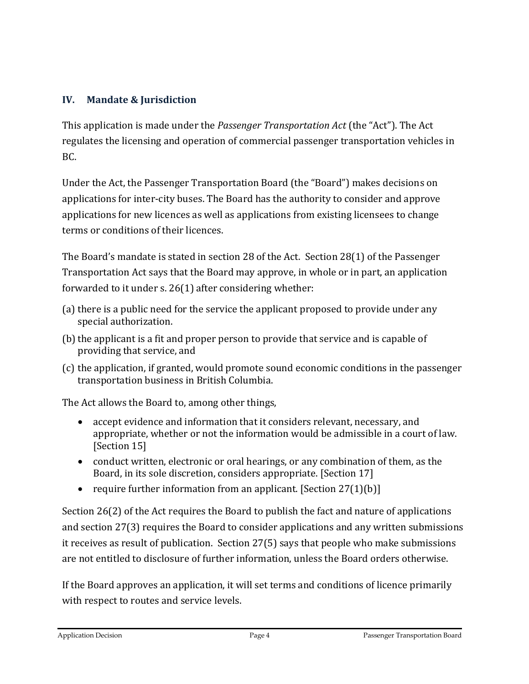# **IV. Mandate & Jurisdiction**

This application is made under the *Passenger Transportation Act* (the "Act"). The Act regulates the licensing and operation of commercial passenger transportation vehicles in BC.

Under the Act, the Passenger Transportation Board (the "Board") makes decisions on applications for inter-city buses. The Board has the authority to consider and approve applications for new licences as well as applications from existing licensees to change terms or conditions of their licences.

The Board's mandate is stated in section 28 of the Act. Section 28(1) of the Passenger Transportation Act says that the Board may approve, in whole or in part, an application forwarded to it under s. 26(1) after considering whether:

- (a) there is a public need for the service the applicant proposed to provide under any special authorization.
- (b) the applicant is a fit and proper person to provide that service and is capable of providing that service, and
- (c) the application, if granted, would promote sound economic conditions in the passenger transportation business in British Columbia.

The Act allows the Board to, among other things,

- accept evidence and information that it considers relevant, necessary, and appropriate, whether or not the information would be admissible in a court of law. [Section 15]
- conduct written, electronic or oral hearings, or any combination of them, as the Board, in its sole discretion, considers appropriate. [Section 17]
- require further information from an applicant. [Section  $27(1)(b)$ ]

Section 26(2) of the Act requires the Board to publish the fact and nature of applications and section 27(3) requires the Board to consider applications and any written submissions it receives as result of publication. Section 27(5) says that people who make submissions are not entitled to disclosure of further information, unless the Board orders otherwise.

If the Board approves an application, it will set terms and conditions of licence primarily with respect to routes and service levels.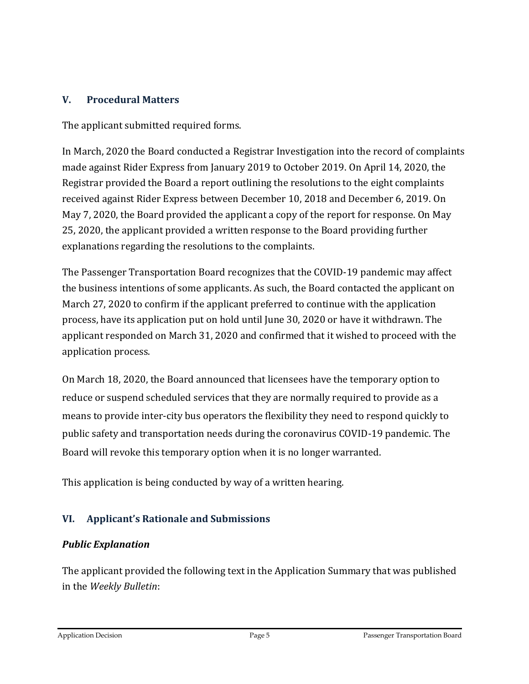## **V. Procedural Matters**

The applicant submitted required forms.

In March, 2020 the Board conducted a Registrar Investigation into the record of complaints made against Rider Express from January 2019 to October 2019. On April 14, 2020, the Registrar provided the Board a report outlining the resolutions to the eight complaints received against Rider Express between December 10, 2018 and December 6, 2019. On May 7, 2020, the Board provided the applicant a copy of the report for response. On May 25, 2020, the applicant provided a written response to the Board providing further explanations regarding the resolutions to the complaints.

The Passenger Transportation Board recognizes that the COVID-19 pandemic may affect the business intentions of some applicants. As such, the Board contacted the applicant on March 27, 2020 to confirm if the applicant preferred to continue with the application process, have its application put on hold until June 30, 2020 or have it withdrawn. The applicant responded on March 31, 2020 and confirmed that it wished to proceed with the application process.

On March 18, 2020, the Board announced that licensees have the temporary option to reduce or suspend scheduled services that they are normally required to provide as a means to provide inter-city bus operators the flexibility they need to respond quickly to public safety and transportation needs during the coronavirus COVID-19 pandemic. The Board will revoke this temporary option when it is no longer warranted.

This application is being conducted by way of a written hearing.

# **VI. Applicant's Rationale and Submissions**

## *Public Explanation*

The applicant provided the following text in the Application Summary that was published in the *Weekly Bulletin*: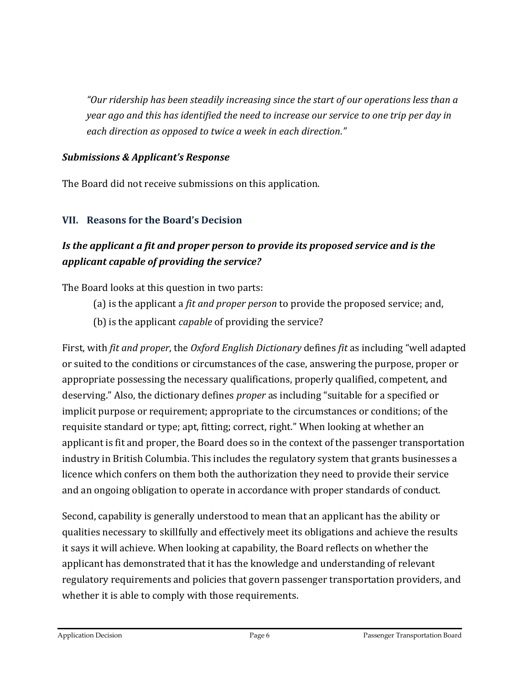*"Our ridership has been steadily increasing since the start of our operations less than a year ago and this has identified the need to increase our service to one trip per day in each direction as opposed to twice a week in each direction."*

#### *Submissions & Applicant's Response*

The Board did not receive submissions on this application.

## **VII. Reasons for the Board's Decision**

# *Is the applicant a fit and proper person to provide its proposed service and is the applicant capable of providing the service?*

The Board looks at this question in two parts:

- (a) is the applicant a *fit and proper person* to provide the proposed service; and,
- (b) is the applicant *capable* of providing the service?

First, with *fit and proper*, the *Oxford English Dictionary* defines *fit* as including "well adapted or suited to the conditions or circumstances of the case, answering the purpose, proper or appropriate possessing the necessary qualifications, properly qualified, competent, and deserving." Also, the dictionary defines *proper* as including "suitable for a specified or implicit purpose or requirement; appropriate to the circumstances or conditions; of the requisite standard or type; apt, fitting; correct, right." When looking at whether an applicant is fit and proper, the Board does so in the context of the passenger transportation industry in British Columbia. This includes the regulatory system that grants businesses a licence which confers on them both the authorization they need to provide their service and an ongoing obligation to operate in accordance with proper standards of conduct.

Second, capability is generally understood to mean that an applicant has the ability or qualities necessary to skillfully and effectively meet its obligations and achieve the results it says it will achieve. When looking at capability, the Board reflects on whether the applicant has demonstrated that it has the knowledge and understanding of relevant regulatory requirements and policies that govern passenger transportation providers, and whether it is able to comply with those requirements.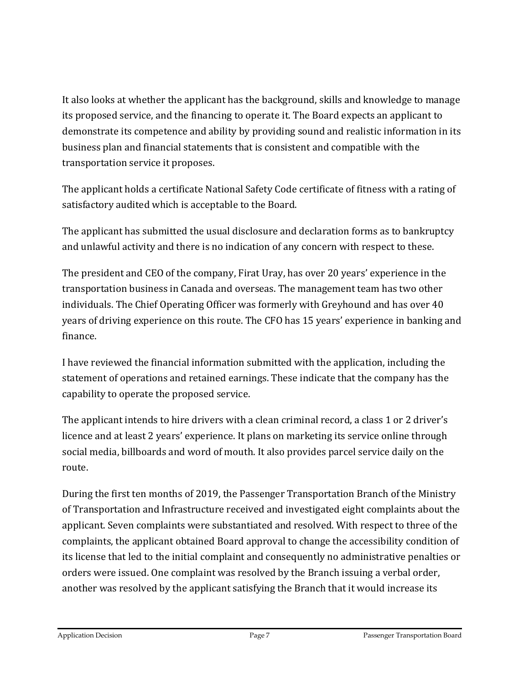It also looks at whether the applicant has the background, skills and knowledge to manage its proposed service, and the financing to operate it. The Board expects an applicant to demonstrate its competence and ability by providing sound and realistic information in its business plan and financial statements that is consistent and compatible with the transportation service it proposes.

The applicant holds a certificate National Safety Code certificate of fitness with a rating of satisfactory audited which is acceptable to the Board.

The applicant has submitted the usual disclosure and declaration forms as to bankruptcy and unlawful activity and there is no indication of any concern with respect to these.

The president and CEO of the company, Firat Uray, has over 20 years' experience in the transportation business in Canada and overseas. The management team has two other individuals. The Chief Operating Officer was formerly with Greyhound and has over 40 years of driving experience on this route. The CFO has 15 years' experience in banking and finance.

I have reviewed the financial information submitted with the application, including the statement of operations and retained earnings. These indicate that the company has the capability to operate the proposed service.

The applicant intends to hire drivers with a clean criminal record, a class 1 or 2 driver's licence and at least 2 years' experience. It plans on marketing its service online through social media, billboards and word of mouth. It also provides parcel service daily on the route.

During the first ten months of 2019, the Passenger Transportation Branch of the Ministry of Transportation and Infrastructure received and investigated eight complaints about the applicant. Seven complaints were substantiated and resolved. With respect to three of the complaints, the applicant obtained Board approval to change the accessibility condition of its license that led to the initial complaint and consequently no administrative penalties or orders were issued. One complaint was resolved by the Branch issuing a verbal order, another was resolved by the applicant satisfying the Branch that it would increase its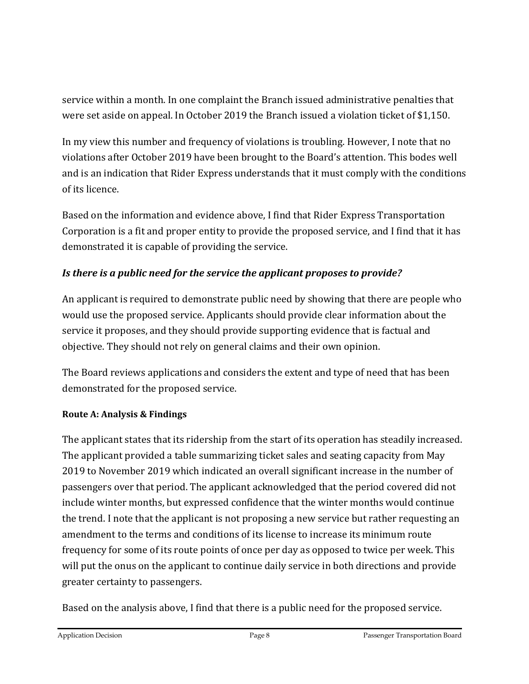service within a month. In one complaint the Branch issued administrative penalties that were set aside on appeal. In October 2019 the Branch issued a violation ticket of \$1,150.

In my view this number and frequency of violations is troubling. However, I note that no violations after October 2019 have been brought to the Board's attention. This bodes well and is an indication that Rider Express understands that it must comply with the conditions of its licence.

Based on the information and evidence above, I find that Rider Express Transportation Corporation is a fit and proper entity to provide the proposed service, and I find that it has demonstrated it is capable of providing the service.

# *Is there is a public need for the service the applicant proposes to provide?*

An applicant is required to demonstrate public need by showing that there are people who would use the proposed service. Applicants should provide clear information about the service it proposes, and they should provide supporting evidence that is factual and objective. They should not rely on general claims and their own opinion.

The Board reviews applications and considers the extent and type of need that has been demonstrated for the proposed service.

## **Route A: Analysis & Findings**

The applicant states that its ridership from the start of its operation has steadily increased. The applicant provided a table summarizing ticket sales and seating capacity from May 2019 to November 2019 which indicated an overall significant increase in the number of passengers over that period. The applicant acknowledged that the period covered did not include winter months, but expressed confidence that the winter months would continue the trend. I note that the applicant is not proposing a new service but rather requesting an amendment to the terms and conditions of its license to increase its minimum route frequency for some of its route points of once per day as opposed to twice per week. This will put the onus on the applicant to continue daily service in both directions and provide greater certainty to passengers.

Based on the analysis above, I find that there is a public need for the proposed service.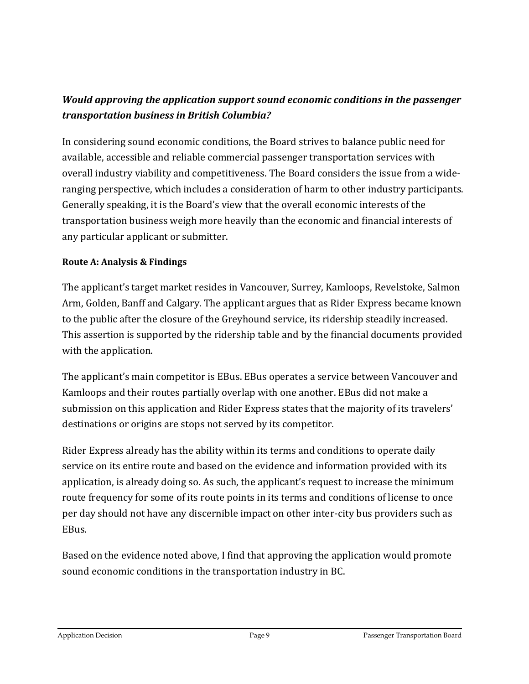# *Would approving the application support sound economic conditions in the passenger transportation business in British Columbia?*

In considering sound economic conditions, the Board strives to balance public need for available, accessible and reliable commercial passenger transportation services with overall industry viability and competitiveness. The Board considers the issue from a wideranging perspective, which includes a consideration of harm to other industry participants. Generally speaking, it is the Board's view that the overall economic interests of the transportation business weigh more heavily than the economic and financial interests of any particular applicant or submitter.

#### **Route A: Analysis & Findings**

The applicant's target market resides in Vancouver, Surrey, Kamloops, Revelstoke, Salmon Arm, Golden, Banff and Calgary. The applicant argues that as Rider Express became known to the public after the closure of the Greyhound service, its ridership steadily increased. This assertion is supported by the ridership table and by the financial documents provided with the application.

The applicant's main competitor is EBus. EBus operates a service between Vancouver and Kamloops and their routes partially overlap with one another. EBus did not make a submission on this application and Rider Express states that the majority of its travelers' destinations or origins are stops not served by its competitor.

Rider Express already has the ability within its terms and conditions to operate daily service on its entire route and based on the evidence and information provided with its application, is already doing so. As such, the applicant's request to increase the minimum route frequency for some of its route points in its terms and conditions of license to once per day should not have any discernible impact on other inter-city bus providers such as EBus.

Based on the evidence noted above, I find that approving the application would promote sound economic conditions in the transportation industry in BC.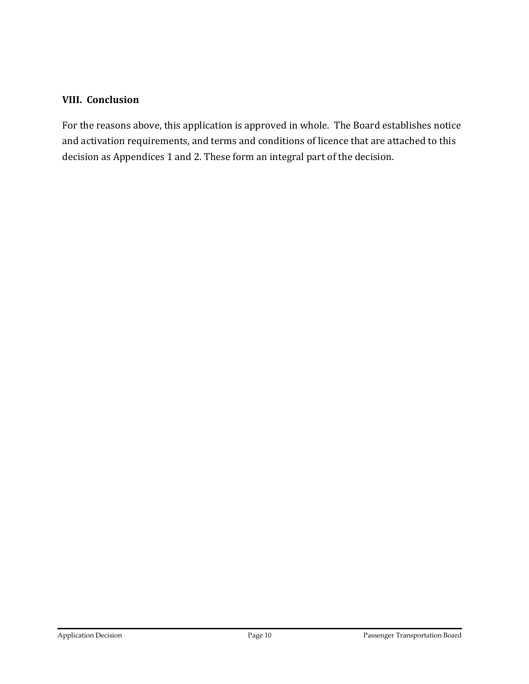#### **VIII. Conclusion**

For the reasons above, this application is approved in whole. The Board establishes notice and activation requirements, and terms and conditions of licence that are attached to this decision as Appendices 1 and 2. These form an integral part of the decision.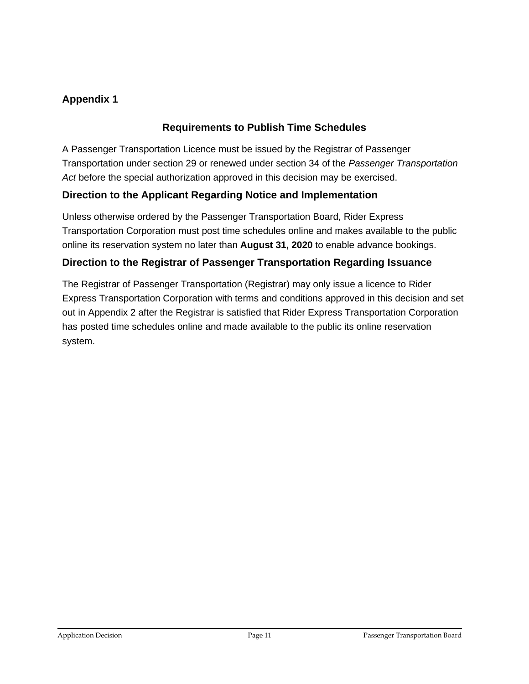# **Appendix 1**

## **Requirements to Publish Time Schedules**

A Passenger Transportation Licence must be issued by the Registrar of Passenger Transportation under section 29 or renewed under section 34 of the *Passenger Transportation Act* before the special authorization approved in this decision may be exercised.

## **Direction to the Applicant Regarding Notice and Implementation**

Unless otherwise ordered by the Passenger Transportation Board, Rider Express Transportation Corporation must post time schedules online and makes available to the public online its reservation system no later than **August 31, 2020** to enable advance bookings.

## **Direction to the Registrar of Passenger Transportation Regarding Issuance**

The Registrar of Passenger Transportation (Registrar) may only issue a licence to Rider Express Transportation Corporation with terms and conditions approved in this decision and set out in Appendix 2 after the Registrar is satisfied that Rider Express Transportation Corporation has posted time schedules online and made available to the public its online reservation system.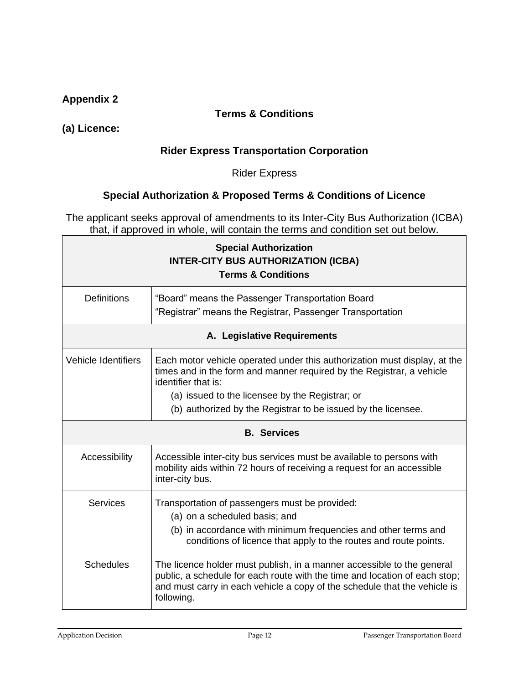## **Appendix 2**

#### **Terms & Conditions**

**(a) Licence:**

#### **Rider Express Transportation Corporation**

Rider Express

#### **Special Authorization & Proposed Terms & Conditions of Licence**

The applicant seeks approval of amendments to its Inter-City Bus Authorization (ICBA) that, if approved in whole, will contain the terms and condition set out below.

| <b>Special Authorization</b><br><b>INTER-CITY BUS AUTHORIZATION (ICBA)</b><br><b>Terms &amp; Conditions</b> |                                                                                                                                                                                                                                                 |  |  |
|-------------------------------------------------------------------------------------------------------------|-------------------------------------------------------------------------------------------------------------------------------------------------------------------------------------------------------------------------------------------------|--|--|
| <b>Definitions</b>                                                                                          | "Board" means the Passenger Transportation Board<br>"Registrar" means the Registrar, Passenger Transportation                                                                                                                                   |  |  |
| A. Legislative Requirements                                                                                 |                                                                                                                                                                                                                                                 |  |  |
| <b>Vehicle Identifiers</b>                                                                                  | Each motor vehicle operated under this authorization must display, at the<br>times and in the form and manner required by the Registrar, a vehicle<br>identifier that is:                                                                       |  |  |
|                                                                                                             | (a) issued to the licensee by the Registrar; or                                                                                                                                                                                                 |  |  |
|                                                                                                             | (b) authorized by the Registrar to be issued by the licensee.                                                                                                                                                                                   |  |  |
| <b>B.</b> Services                                                                                          |                                                                                                                                                                                                                                                 |  |  |
| Accessibility                                                                                               | Accessible inter-city bus services must be available to persons with<br>mobility aids within 72 hours of receiving a request for an accessible<br>inter-city bus.                                                                               |  |  |
| Services                                                                                                    | Transportation of passengers must be provided:                                                                                                                                                                                                  |  |  |
|                                                                                                             | (a) on a scheduled basis; and<br>(b) in accordance with minimum frequencies and other terms and                                                                                                                                                 |  |  |
|                                                                                                             | conditions of licence that apply to the routes and route points.                                                                                                                                                                                |  |  |
| <b>Schedules</b>                                                                                            | The licence holder must publish, in a manner accessible to the general<br>public, a schedule for each route with the time and location of each stop;<br>and must carry in each vehicle a copy of the schedule that the vehicle is<br>following. |  |  |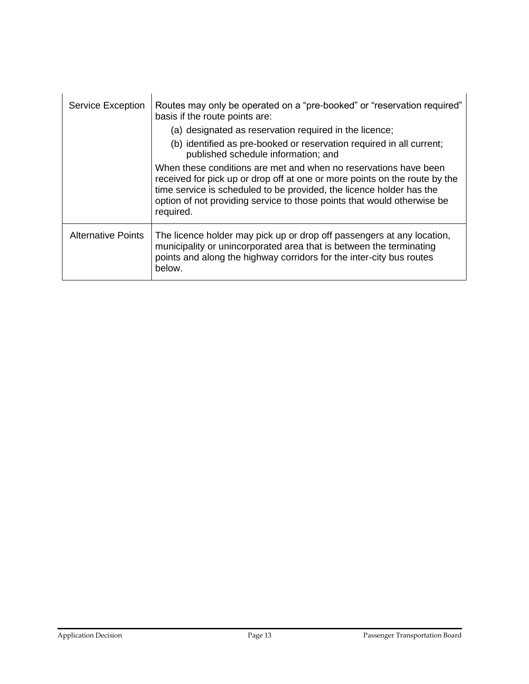| Service Exception         | Routes may only be operated on a "pre-booked" or "reservation required"<br>basis if the route points are:<br>(a) designated as reservation required in the licence;                                                                                                                                            |
|---------------------------|----------------------------------------------------------------------------------------------------------------------------------------------------------------------------------------------------------------------------------------------------------------------------------------------------------------|
|                           | (b) identified as pre-booked or reservation required in all current;<br>published schedule information; and                                                                                                                                                                                                    |
|                           | When these conditions are met and when no reservations have been<br>received for pick up or drop off at one or more points on the route by the<br>time service is scheduled to be provided, the licence holder has the<br>option of not providing service to those points that would otherwise be<br>required. |
| <b>Alternative Points</b> | The licence holder may pick up or drop off passengers at any location,<br>municipality or unincorporated area that is between the terminating<br>points and along the highway corridors for the inter-city bus routes<br>below.                                                                                |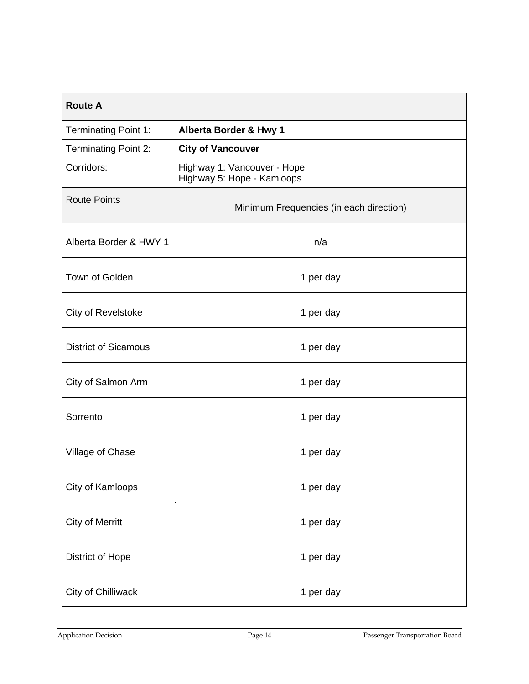| <b>Route A</b>              |                                                           |  |  |  |
|-----------------------------|-----------------------------------------------------------|--|--|--|
| Terminating Point 1:        | Alberta Border & Hwy 1                                    |  |  |  |
| <b>Terminating Point 2:</b> | <b>City of Vancouver</b>                                  |  |  |  |
| Corridors:                  | Highway 1: Vancouver - Hope<br>Highway 5: Hope - Kamloops |  |  |  |
| <b>Route Points</b>         | Minimum Frequencies (in each direction)                   |  |  |  |
| Alberta Border & HWY 1      | n/a                                                       |  |  |  |
| Town of Golden              | 1 per day                                                 |  |  |  |
| City of Revelstoke          | 1 per day                                                 |  |  |  |
| <b>District of Sicamous</b> | 1 per day                                                 |  |  |  |
| City of Salmon Arm          | 1 per day                                                 |  |  |  |
| Sorrento                    | 1 per day                                                 |  |  |  |
| Village of Chase            | 1 per day                                                 |  |  |  |
| City of Kamloops            | 1 per day                                                 |  |  |  |
| <b>City of Merritt</b>      | 1 per day                                                 |  |  |  |
| <b>District of Hope</b>     | 1 per day                                                 |  |  |  |
| City of Chilliwack          | 1 per day                                                 |  |  |  |